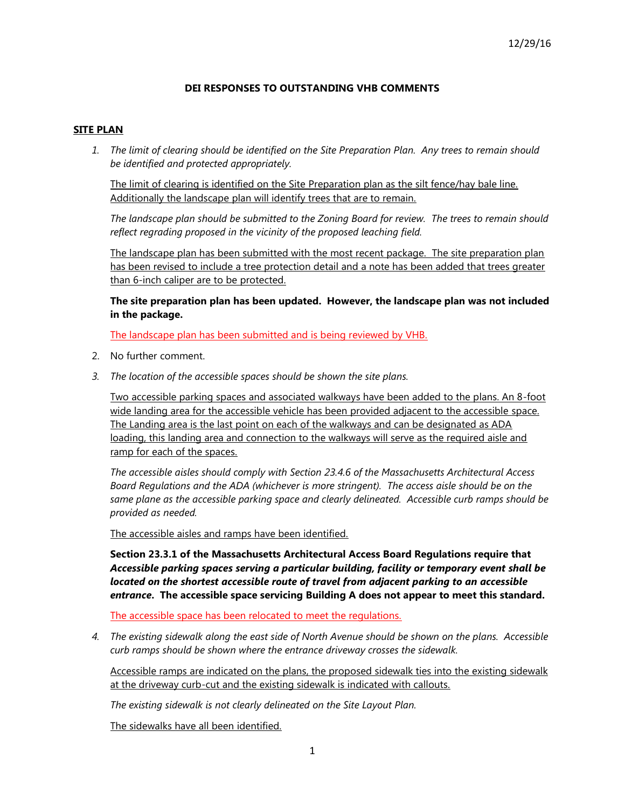### **DEI RESPONSES TO OUTSTANDING VHB COMMENTS**

### **SITE PLAN**

*1. The limit of clearing should be identified on the Site Preparation Plan. Any trees to remain should be identified and protected appropriately.*

The limit of clearing is identified on the Site Preparation plan as the silt fence/hay bale line. Additionally the landscape plan will identify trees that are to remain.

*The landscape plan should be submitted to the Zoning Board for review. The trees to remain should reflect regrading proposed in the vicinity of the proposed leaching field.*

The landscape plan has been submitted with the most recent package. The site preparation plan has been revised to include a tree protection detail and a note has been added that trees greater than 6-inch caliper are to be protected.

**The site preparation plan has been updated. However, the landscape plan was not included in the package.**

The landscape plan has been submitted and is being reviewed by VHB.

- 2. No further comment.
- *3. The location of the accessible spaces should be shown the site plans.*

Two accessible parking spaces and associated walkways have been added to the plans. An 8-foot wide landing area for the accessible vehicle has been provided adjacent to the accessible space. The Landing area is the last point on each of the walkways and can be designated as ADA loading, this landing area and connection to the walkways will serve as the required aisle and ramp for each of the spaces.

*The accessible aisles should comply with Section 23.4.6 of the Massachusetts Architectural Access Board Regulations and the ADA (whichever is more stringent). The access aisle should be on the same plane as the accessible parking space and clearly delineated. Accessible curb ramps should be provided as needed.*

The accessible aisles and ramps have been identified.

**Section 23.3.1 of the Massachusetts Architectural Access Board Regulations require that**  *Accessible parking spaces serving a particular building, facility or temporary event shall be located on the shortest accessible route of travel from adjacent parking to an accessible entrance***. The accessible space servicing Building A does not appear to meet this standard.** 

The accessible space has been relocated to meet the regulations.

*4. The existing sidewalk along the east side of North Avenue should be shown on the plans. Accessible curb ramps should be shown where the entrance driveway crosses the sidewalk.*

Accessible ramps are indicated on the plans, the proposed sidewalk ties into the existing sidewalk at the driveway curb-cut and the existing sidewalk is indicated with callouts.

*The existing sidewalk is not clearly delineated on the Site Layout Plan.*

The sidewalks have all been identified.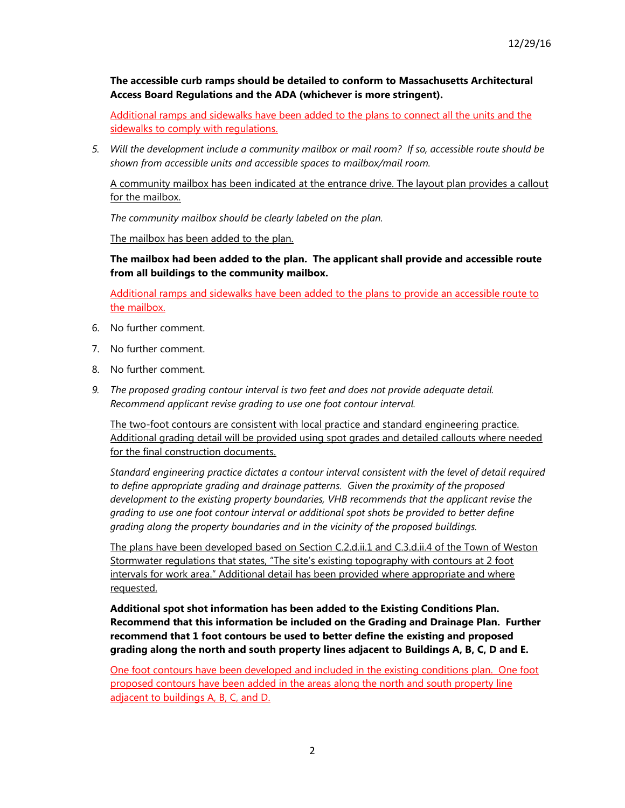**The accessible curb ramps should be detailed to conform to Massachusetts Architectural Access Board Regulations and the ADA (whichever is more stringent).**

Additional ramps and sidewalks have been added to the plans to connect all the units and the sidewalks to comply with regulations.

*5. Will the development include a community mailbox or mail room? If so, accessible route should be shown from accessible units and accessible spaces to mailbox/mail room.*

A community mailbox has been indicated at the entrance drive. The layout plan provides a callout for the mailbox.

*The community mailbox should be clearly labeled on the plan.*

The mailbox has been added to the plan.

**The mailbox had been added to the plan. The applicant shall provide and accessible route from all buildings to the community mailbox.**

Additional ramps and sidewalks have been added to the plans to provide an accessible route to the mailbox.

- 6. No further comment.
- 7. No further comment.
- 8. No further comment.
- *9. The proposed grading contour interval is two feet and does not provide adequate detail. Recommend applicant revise grading to use one foot contour interval.*

The two-foot contours are consistent with local practice and standard engineering practice. Additional grading detail will be provided using spot grades and detailed callouts where needed for the final construction documents.

*Standard engineering practice dictates a contour interval consistent with the level of detail required to define appropriate grading and drainage patterns. Given the proximity of the proposed development to the existing property boundaries, VHB recommends that the applicant revise the grading to use one foot contour interval or additional spot shots be provided to better define grading along the property boundaries and in the vicinity of the proposed buildings.* 

The plans have been developed based on Section C.2.d.ii.1 and C.3.d.ii.4 of the Town of Weston Stormwater regulations that states, "The site's existing topography with contours at 2 foot intervals for work area." Additional detail has been provided where appropriate and where requested.

**Additional spot shot information has been added to the Existing Conditions Plan. Recommend that this information be included on the Grading and Drainage Plan. Further recommend that 1 foot contours be used to better define the existing and proposed grading along the north and south property lines adjacent to Buildings A, B, C, D and E.**

One foot contours have been developed and included in the existing conditions plan. One foot proposed contours have been added in the areas along the north and south property line adjacent to buildings A, B, C, and D.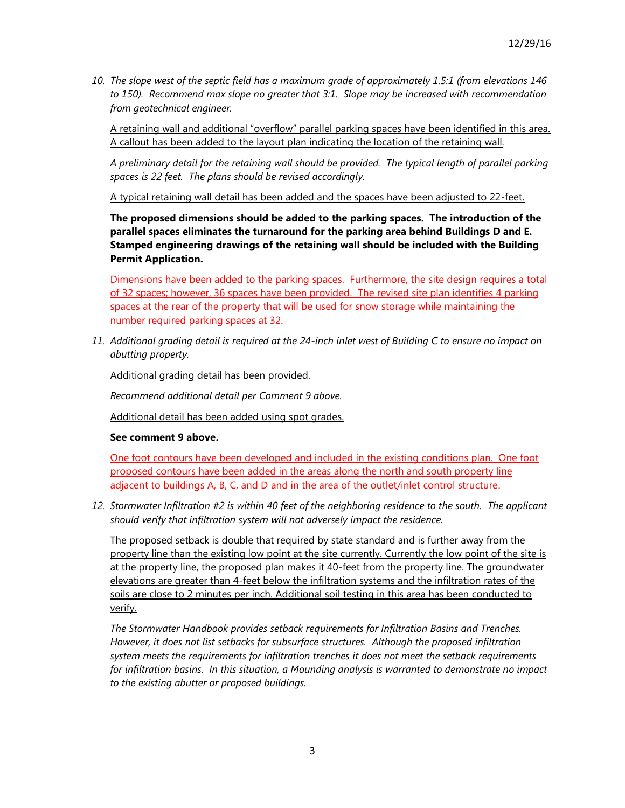*10. The slope west of the septic field has a maximum grade of approximately 1.5:1 (from elevations 146 to 150). Recommend max slope no greater that 3:1. Slope may be increased with recommendation from geotechnical engineer.*

A retaining wall and additional "overflow" parallel parking spaces have been identified in this area. A callout has been added to the layout plan indicating the location of the retaining wall*.* 

*A preliminary detail for the retaining wall should be provided. The typical length of parallel parking spaces is 22 feet. The plans should be revised accordingly.*

A typical retaining wall detail has been added and the spaces have been adjusted to 22-feet.

**The proposed dimensions should be added to the parking spaces. The introduction of the parallel spaces eliminates the turnaround for the parking area behind Buildings D and E. Stamped engineering drawings of the retaining wall should be included with the Building Permit Application.** 

Dimensions have been added to the parking spaces. Furthermore, the site design requires a total of 32 spaces; however, 36 spaces have been provided. The revised site plan identifies 4 parking spaces at the rear of the property that will be used for snow storage while maintaining the number required parking spaces at 32.

*11. Additional grading detail is required at the 24-inch inlet west of Building C to ensure no impact on abutting property.*

Additional grading detail has been provided.

*Recommend additional detail per Comment 9 above.*

Additional detail has been added using spot grades.

## **See comment 9 above.**

One foot contours have been developed and included in the existing conditions plan. One foot proposed contours have been added in the areas along the north and south property line adjacent to buildings A, B, C, and D and in the area of the outlet/inlet control structure.

*12. Stormwater Infiltration #2 is within 40 feet of the neighboring residence to the south. The applicant should verify that infiltration system will not adversely impact the residence.*

The proposed setback is double that required by state standard and is further away from the property line than the existing low point at the site currently. Currently the low point of the site is at the property line, the proposed plan makes it 40-feet from the property line. The groundwater elevations are greater than 4-feet below the infiltration systems and the infiltration rates of the soils are close to 2 minutes per inch. Additional soil testing in this area has been conducted to verify.

*The Stormwater Handbook provides setback requirements for Infiltration Basins and Trenches. However, it does not list setbacks for subsurface structures. Although the proposed infiltration system meets the requirements for infiltration trenches it does not meet the setback requirements for infiltration basins. In this situation, a Mounding analysis is warranted to demonstrate no impact to the existing abutter or proposed buildings.*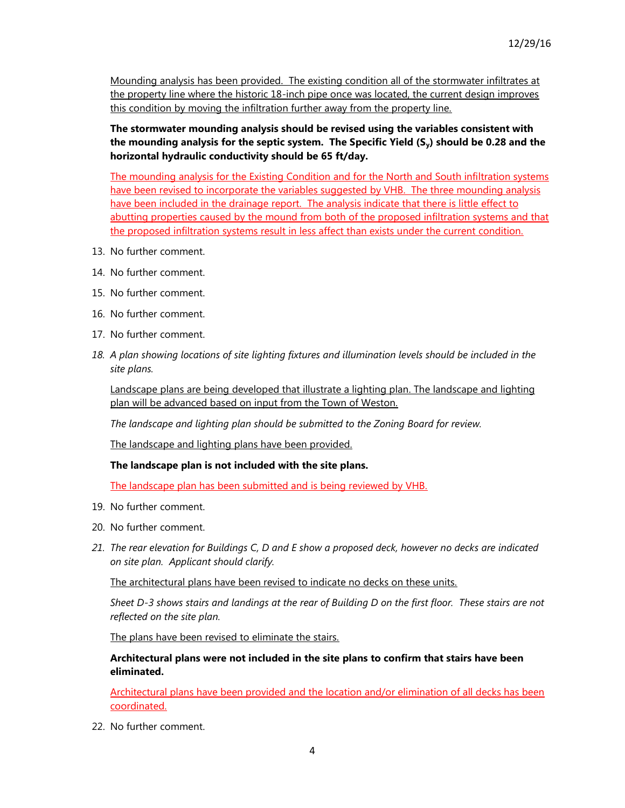Mounding analysis has been provided. The existing condition all of the stormwater infiltrates at the property line where the historic 18-inch pipe once was located, the current design improves this condition by moving the infiltration further away from the property line.

**The stormwater mounding analysis should be revised using the variables consistent with the mounding analysis for the septic system. The Specific Yield (Sy) should be 0.28 and the horizontal hydraulic conductivity should be 65 ft/day.**

The mounding analysis for the Existing Condition and for the North and South infiltration systems have been revised to incorporate the variables suggested by VHB. The three mounding analysis have been included in the drainage report. The analysis indicate that there is little effect to abutting properties caused by the mound from both of the proposed infiltration systems and that the proposed infiltration systems result in less affect than exists under the current condition.

- 13. No further comment.
- 14. No further comment.
- 15. No further comment.
- 16. No further comment.
- 17. No further comment.
- *18. A plan showing locations of site lighting fixtures and illumination levels should be included in the site plans.*

Landscape plans are being developed that illustrate a lighting plan. The landscape and lighting plan will be advanced based on input from the Town of Weston.

*The landscape and lighting plan should be submitted to the Zoning Board for review.*

The landscape and lighting plans have been provided.

**The landscape plan is not included with the site plans.**

The landscape plan has been submitted and is being reviewed by VHB.

- 19. No further comment.
- 20. No further comment.
- *21. The rear elevation for Buildings C, D and E show a proposed deck, however no decks are indicated on site plan. Applicant should clarify.*

The architectural plans have been revised to indicate no decks on these units.

*Sheet D-3 shows stairs and landings at the rear of Building D on the first floor. These stairs are not reflected on the site plan.*

The plans have been revised to eliminate the stairs.

**Architectural plans were not included in the site plans to confirm that stairs have been eliminated.**

Architectural plans have been provided and the location and/or elimination of all decks has been coordinated.

22. No further comment.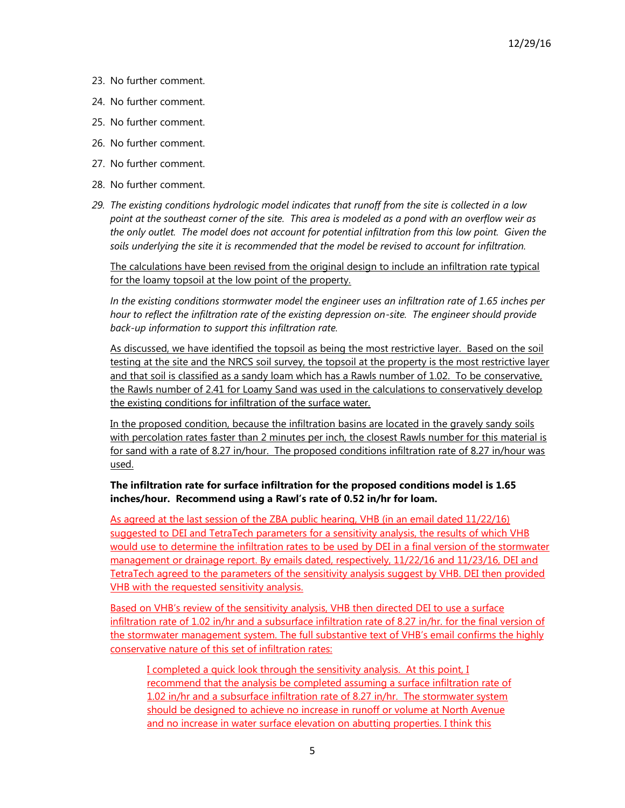- 23. No further comment.
- 24. No further comment.
- 25. No further comment.
- 26. No further comment.
- 27. No further comment.
- 28. No further comment.
- *29. The existing conditions hydrologic model indicates that runoff from the site is collected in a low point at the southeast corner of the site. This area is modeled as a pond with an overflow weir as the only outlet. The model does not account for potential infiltration from this low point. Given the soils underlying the site it is recommended that the model be revised to account for infiltration.*

The calculations have been revised from the original design to include an infiltration rate typical for the loamy topsoil at the low point of the property.

*In the existing conditions stormwater model the engineer uses an infiltration rate of 1.65 inches per hour to reflect the infiltration rate of the existing depression on-site. The engineer should provide back-up information to support this infiltration rate.*

As discussed, we have identified the topsoil as being the most restrictive layer. Based on the soil testing at the site and the NRCS soil survey, the topsoil at the property is the most restrictive layer and that soil is classified as a sandy loam which has a Rawls number of 1.02. To be conservative, the Rawls number of 2.41 for Loamy Sand was used in the calculations to conservatively develop the existing conditions for infiltration of the surface water.

In the proposed condition, because the infiltration basins are located in the gravely sandy soils with percolation rates faster than 2 minutes per inch, the closest Rawls number for this material is for sand with a rate of 8.27 in/hour. The proposed conditions infiltration rate of 8.27 in/hour was used.

# **The infiltration rate for surface infiltration for the proposed conditions model is 1.65 inches/hour. Recommend using a Rawl's rate of 0.52 in/hr for loam.**

As agreed at the last session of the ZBA public hearing, VHB (in an email dated 11/22/16) suggested to DEI and TetraTech parameters for a sensitivity analysis, the results of which VHB would use to determine the infiltration rates to be used by DEI in a final version of the stormwater management or drainage report. By emails dated, respectively, 11/22/16 and 11/23/16, DEI and TetraTech agreed to the parameters of the sensitivity analysis suggest by VHB. DEI then provided VHB with the requested sensitivity analysis.

Based on VHB's review of the sensitivity analysis, VHB then directed DEI to use a surface infiltration rate of 1.02 in/hr and a subsurface infiltration rate of 8.27 in/hr. for the final version of the stormwater management system. The full substantive text of VHB's email confirms the highly conservative nature of this set of infiltration rates:

I completed a quick look through the sensitivity analysis. At this point, I recommend that the analysis be completed assuming a surface infiltration rate of 1.02 in/hr and a subsurface infiltration rate of 8.27 in/hr. The stormwater system should be designed to achieve no increase in runoff or volume at North Avenue and no increase in water surface elevation on abutting properties. I think this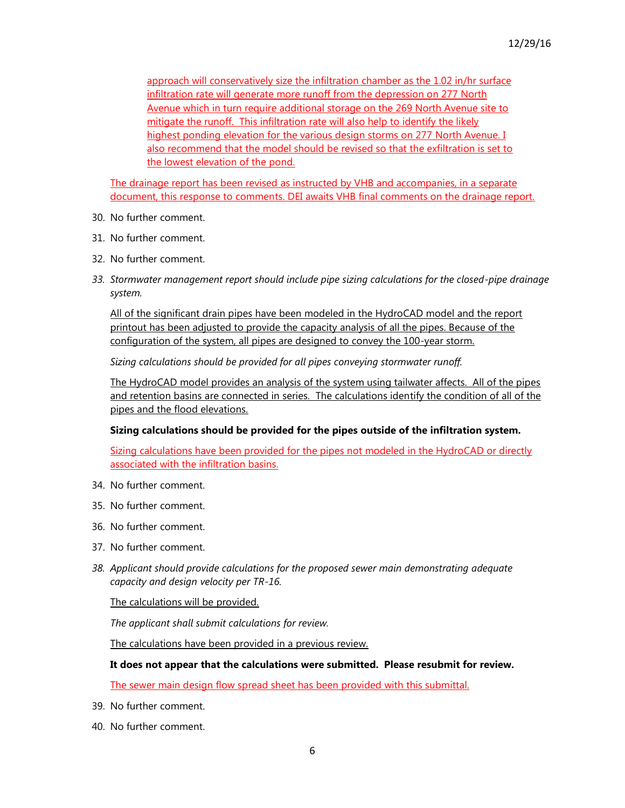approach will conservatively size the infiltration chamber as the 1.02 in/hr surface infiltration rate will generate more runoff from the depression on 277 North Avenue which in turn require additional storage on the 269 North Avenue site to mitigate the runoff. This infiltration rate will also help to identify the likely highest ponding elevation for the various design storms on 277 North Avenue. I also recommend that the model should be revised so that the exfiltration is set to the lowest elevation of the pond.

The drainage report has been revised as instructed by VHB and accompanies, in a separate document, this response to comments. DEI awaits VHB final comments on the drainage report.

- 30. No further comment.
- 31. No further comment.
- 32. No further comment.
- *33. Stormwater management report should include pipe sizing calculations for the closed-pipe drainage system.*

All of the significant drain pipes have been modeled in the HydroCAD model and the report printout has been adjusted to provide the capacity analysis of all the pipes. Because of the configuration of the system, all pipes are designed to convey the 100-year storm.

*Sizing calculations should be provided for all pipes conveying stormwater runoff.*

The HydroCAD model provides an analysis of the system using tailwater affects. All of the pipes and retention basins are connected in series. The calculations identify the condition of all of the pipes and the flood elevations.

### **Sizing calculations should be provided for the pipes outside of the infiltration system.**

Sizing calculations have been provided for the pipes not modeled in the HydroCAD or directly associated with the infiltration basins.

- 34. No further comment.
- 35. No further comment.
- 36. No further comment.
- 37. No further comment.
- *38. Applicant should provide calculations for the proposed sewer main demonstrating adequate capacity and design velocity per TR-16.*

The calculations will be provided.

*The applicant shall submit calculations for review.*

The calculations have been provided in a previous review.

#### **It does not appear that the calculations were submitted. Please resubmit for review.**

The sewer main design flow spread sheet has been provided with this submittal.

- 39. No further comment.
- 40. No further comment.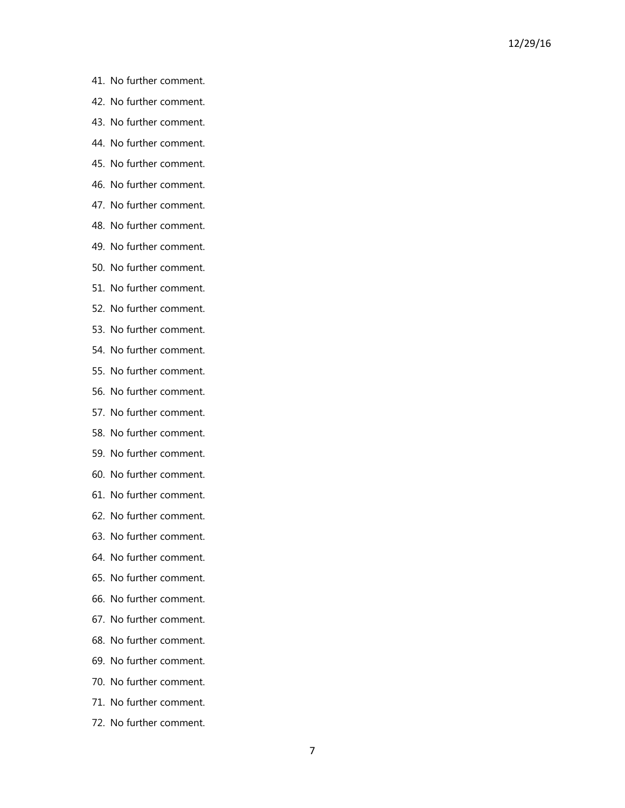- 41. No further comment.
- 42. No further comment.
- 43. No further comment.
- 44. No further comment.
- 45. No further comment.
- 46. No further comment.
- 47. No further comment.
- 48. No further comment.
- 49. No further comment.
- 50. No further comment.
- 51. No further comment.
- 52. No further comment.
- 53. No further comment.
- 54. No further comment.
- 55. No further comment.
- 56. No further comment.
- 57. No further comment.
- 58. No further comment.
- 59. No further comment.
- 60. No further comment.
- 61. No further comment.
- 62. No further comment.
- 63. No further comment.
- 64. No further comment.
- 65. No further comment.
- 66. No further comment.
- 67. No further comment.
- 68. No further comment.
- 69. No further comment.
- 70. No further comment.
- 71. No further comment.
- 72. No further comment.